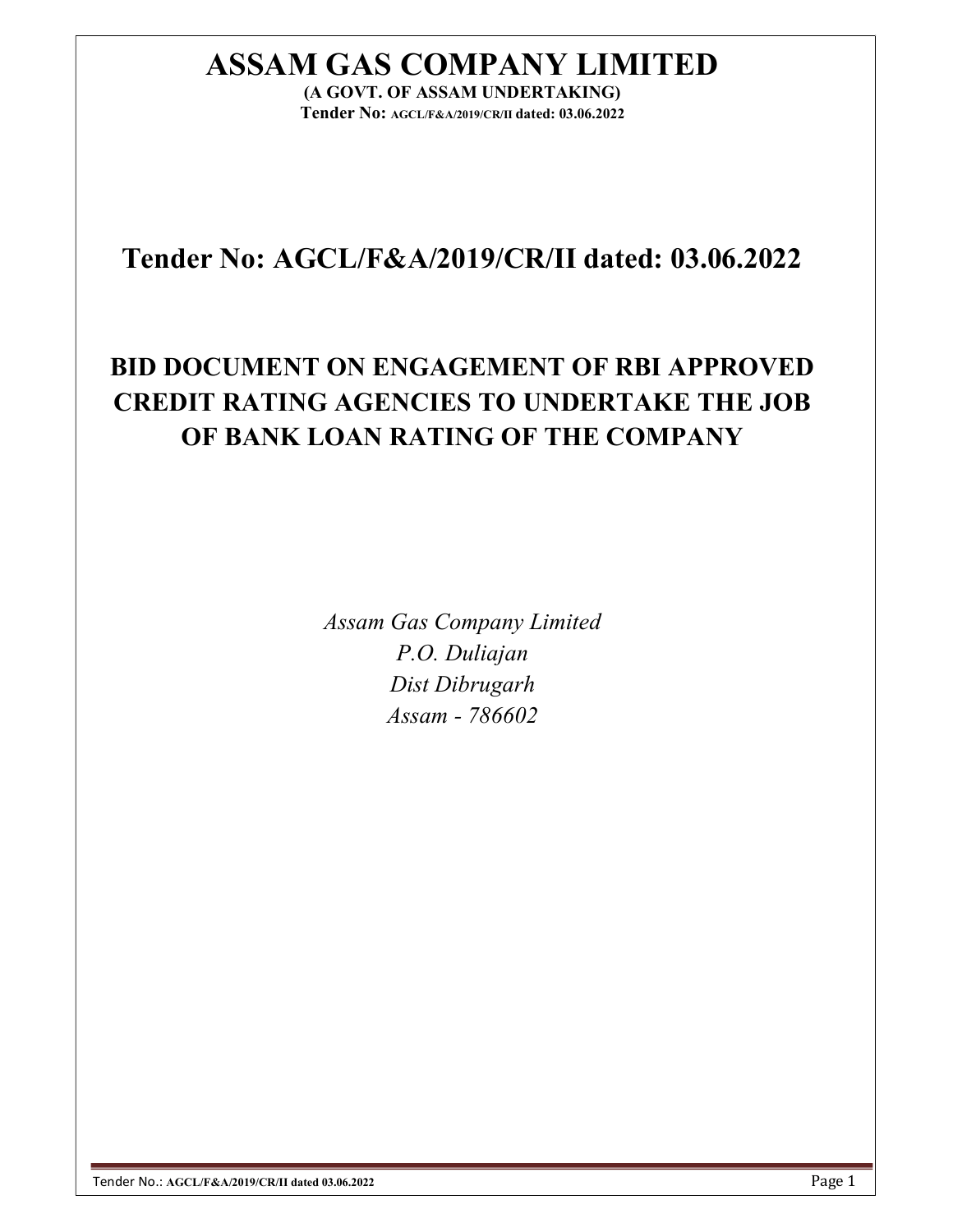# ASSAM GAS COMPANY LIMITED

(A GOVT. OF ASSAM UNDERTAKING) Tender No: AGCL/F&A/2019/CR/II dated: 03.06.2022

## Tender No: AGCL/F&A/2019/CR/II dated: 03.06.2022

## BID DOCUMENT ON ENGAGEMENT OF RBI APPROVED CREDIT RATING AGENCIES TO UNDERTAKE THE JOB OF BANK LOAN RATING OF THE COMPANY

Assam Gas Company Limited P.O. Duliajan Dist Dibrugarh Assam - 786602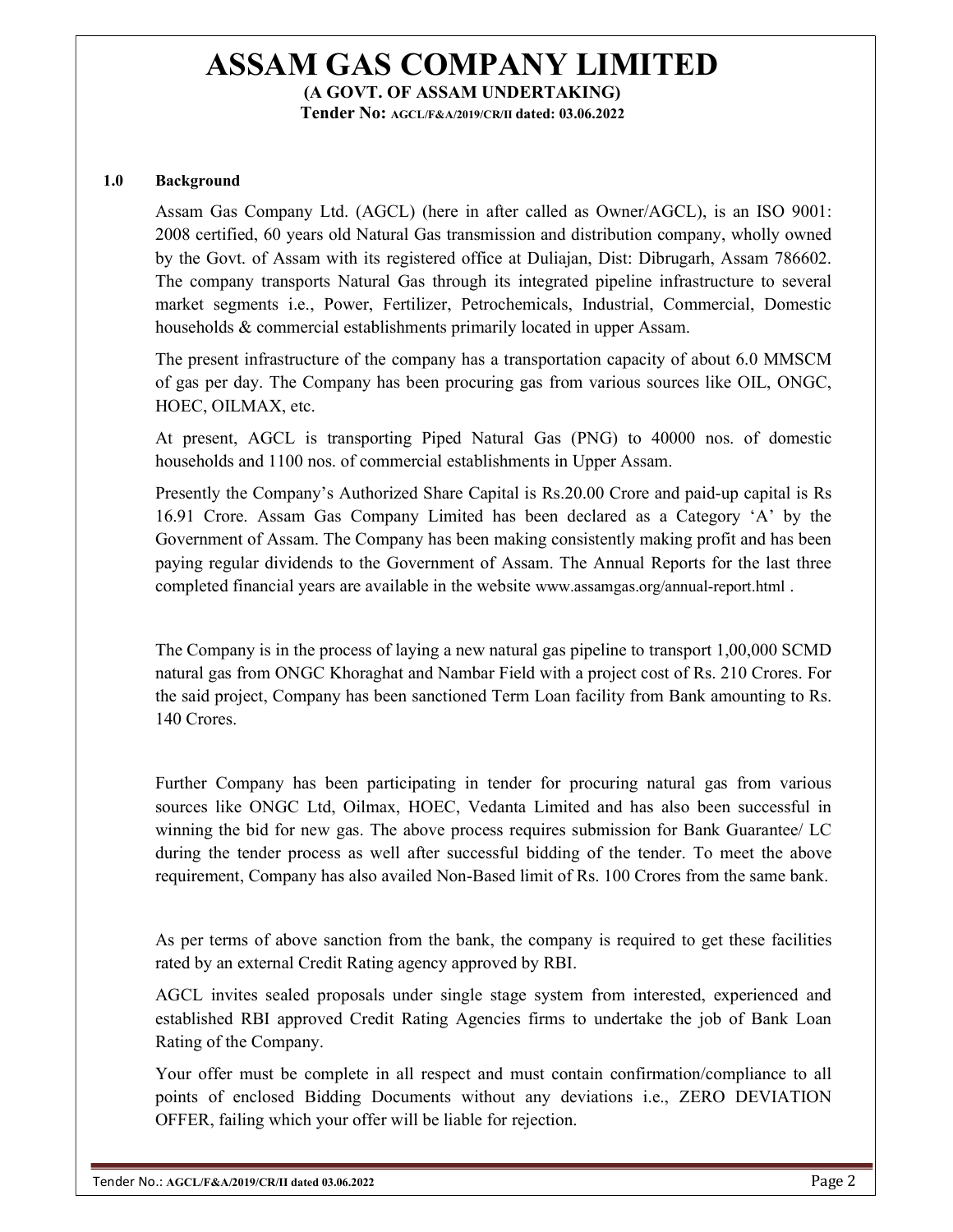Tender No: AGCL/F&A/2019/CR/II dated: 03.06.2022

#### 1.0 Background

Assam Gas Company Ltd. (AGCL) (here in after called as Owner/AGCL), is an ISO 9001: 2008 certified, 60 years old Natural Gas transmission and distribution company, wholly owned by the Govt. of Assam with its registered office at Duliajan, Dist: Dibrugarh, Assam 786602. The company transports Natural Gas through its integrated pipeline infrastructure to several market segments i.e., Power, Fertilizer, Petrochemicals, Industrial, Commercial, Domestic households & commercial establishments primarily located in upper Assam.

The present infrastructure of the company has a transportation capacity of about 6.0 MMSCM of gas per day. The Company has been procuring gas from various sources like OIL, ONGC, HOEC, OILMAX, etc.

At present, AGCL is transporting Piped Natural Gas (PNG) to 40000 nos. of domestic households and 1100 nos. of commercial establishments in Upper Assam.

Presently the Company's Authorized Share Capital is Rs.20.00 Crore and paid-up capital is Rs 16.91 Crore. Assam Gas Company Limited has been declared as a Category 'A' by the Government of Assam. The Company has been making consistently making profit and has been paying regular dividends to the Government of Assam. The Annual Reports for the last three completed financial years are available in the website www.assamgas.org/annual-report.html .

The Company is in the process of laying a new natural gas pipeline to transport 1,00,000 SCMD natural gas from ONGC Khoraghat and Nambar Field with a project cost of Rs. 210 Crores. For the said project, Company has been sanctioned Term Loan facility from Bank amounting to Rs. 140 Crores.

Further Company has been participating in tender for procuring natural gas from various sources like ONGC Ltd, Oilmax, HOEC, Vedanta Limited and has also been successful in winning the bid for new gas. The above process requires submission for Bank Guarantee/ LC during the tender process as well after successful bidding of the tender. To meet the above requirement, Company has also availed Non-Based limit of Rs. 100 Crores from the same bank.

As per terms of above sanction from the bank, the company is required to get these facilities rated by an external Credit Rating agency approved by RBI.

AGCL invites sealed proposals under single stage system from interested, experienced and established RBI approved Credit Rating Agencies firms to undertake the job of Bank Loan Rating of the Company.

Your offer must be complete in all respect and must contain confirmation/compliance to all points of enclosed Bidding Documents without any deviations i.e., ZERO DEVIATION OFFER, failing which your offer will be liable for rejection.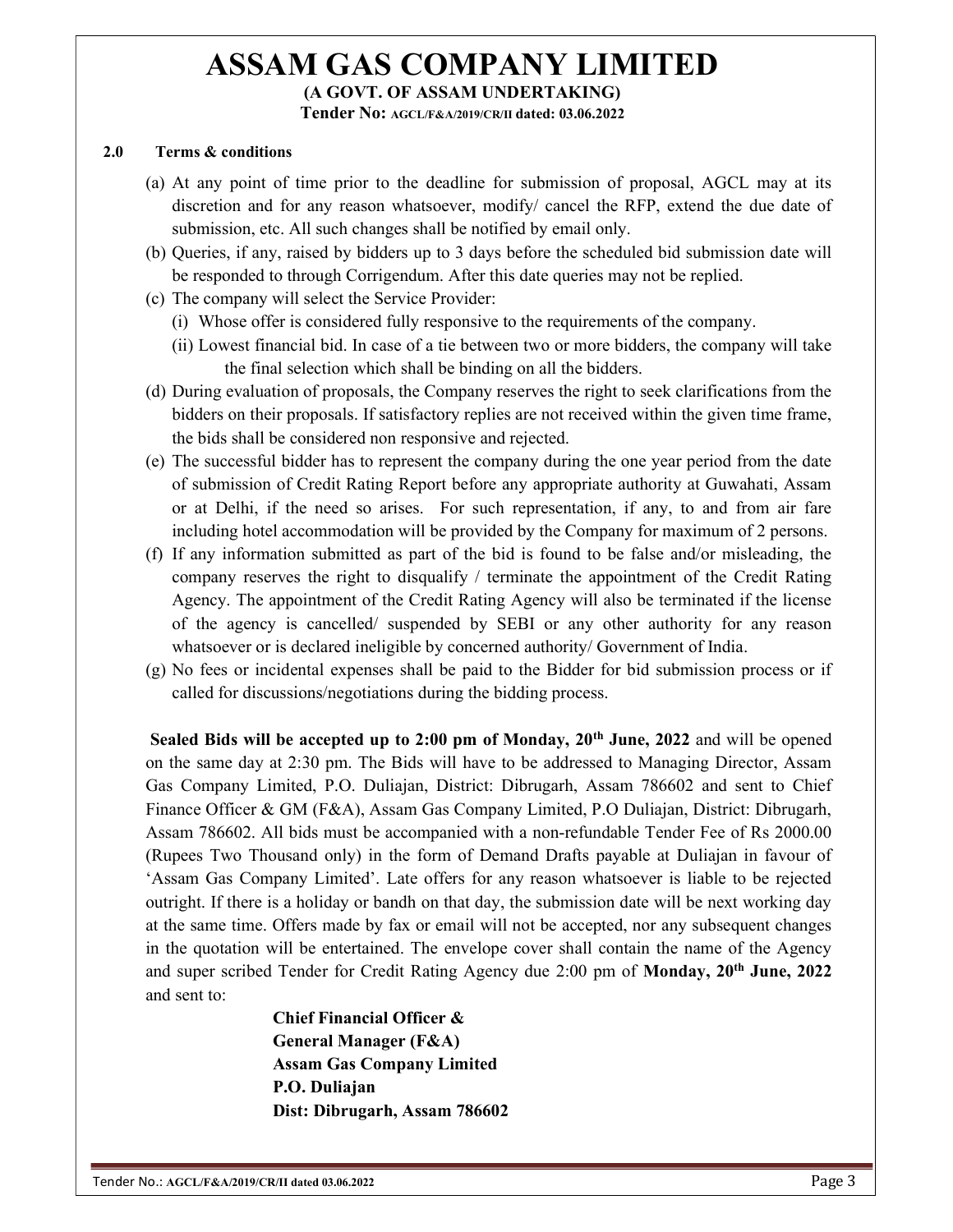Tender No: AGCL/F&A/2019/CR/II dated: 03.06.2022

#### 2.0 Terms & conditions

- (a) At any point of time prior to the deadline for submission of proposal, AGCL may at its discretion and for any reason whatsoever, modify/ cancel the RFP, extend the due date of submission, etc. All such changes shall be notified by email only.
- (b) Queries, if any, raised by bidders up to 3 days before the scheduled bid submission date will be responded to through Corrigendum. After this date queries may not be replied.
- (c) The company will select the Service Provider:
	- (i) Whose offer is considered fully responsive to the requirements of the company.
	- (ii) Lowest financial bid. In case of a tie between two or more bidders, the company will take the final selection which shall be binding on all the bidders.
- (d) During evaluation of proposals, the Company reserves the right to seek clarifications from the bidders on their proposals. If satisfactory replies are not received within the given time frame, the bids shall be considered non responsive and rejected.
- (e) The successful bidder has to represent the company during the one year period from the date of submission of Credit Rating Report before any appropriate authority at Guwahati, Assam or at Delhi, if the need so arises. For such representation, if any, to and from air fare including hotel accommodation will be provided by the Company for maximum of 2 persons.
- (f) If any information submitted as part of the bid is found to be false and/or misleading, the company reserves the right to disqualify / terminate the appointment of the Credit Rating Agency. The appointment of the Credit Rating Agency will also be terminated if the license of the agency is cancelled/ suspended by SEBI or any other authority for any reason whatsoever or is declared ineligible by concerned authority/ Government of India.
- (g) No fees or incidental expenses shall be paid to the Bidder for bid submission process or if called for discussions/negotiations during the bidding process.

Sealed Bids will be accepted up to  $2:00$  pm of Monday,  $20<sup>th</sup>$  June,  $2022$  and will be opened on the same day at 2:30 pm. The Bids will have to be addressed to Managing Director, Assam Gas Company Limited, P.O. Duliajan, District: Dibrugarh, Assam 786602 and sent to Chief Finance Officer & GM (F&A), Assam Gas Company Limited, P.O Duliajan, District: Dibrugarh, Assam 786602. All bids must be accompanied with a non-refundable Tender Fee of Rs 2000.00 (Rupees Two Thousand only) in the form of Demand Drafts payable at Duliajan in favour of 'Assam Gas Company Limited'. Late offers for any reason whatsoever is liable to be rejected outright. If there is a holiday or bandh on that day, the submission date will be next working day at the same time. Offers made by fax or email will not be accepted, nor any subsequent changes in the quotation will be entertained. The envelope cover shall contain the name of the Agency and super scribed Tender for Credit Rating Agency due 2:00 pm of Monday, 20th June, 2022 and sent to:

> Chief Financial Officer & General Manager (F&A) Assam Gas Company Limited P.O. Duliajan Dist: Dibrugarh, Assam 786602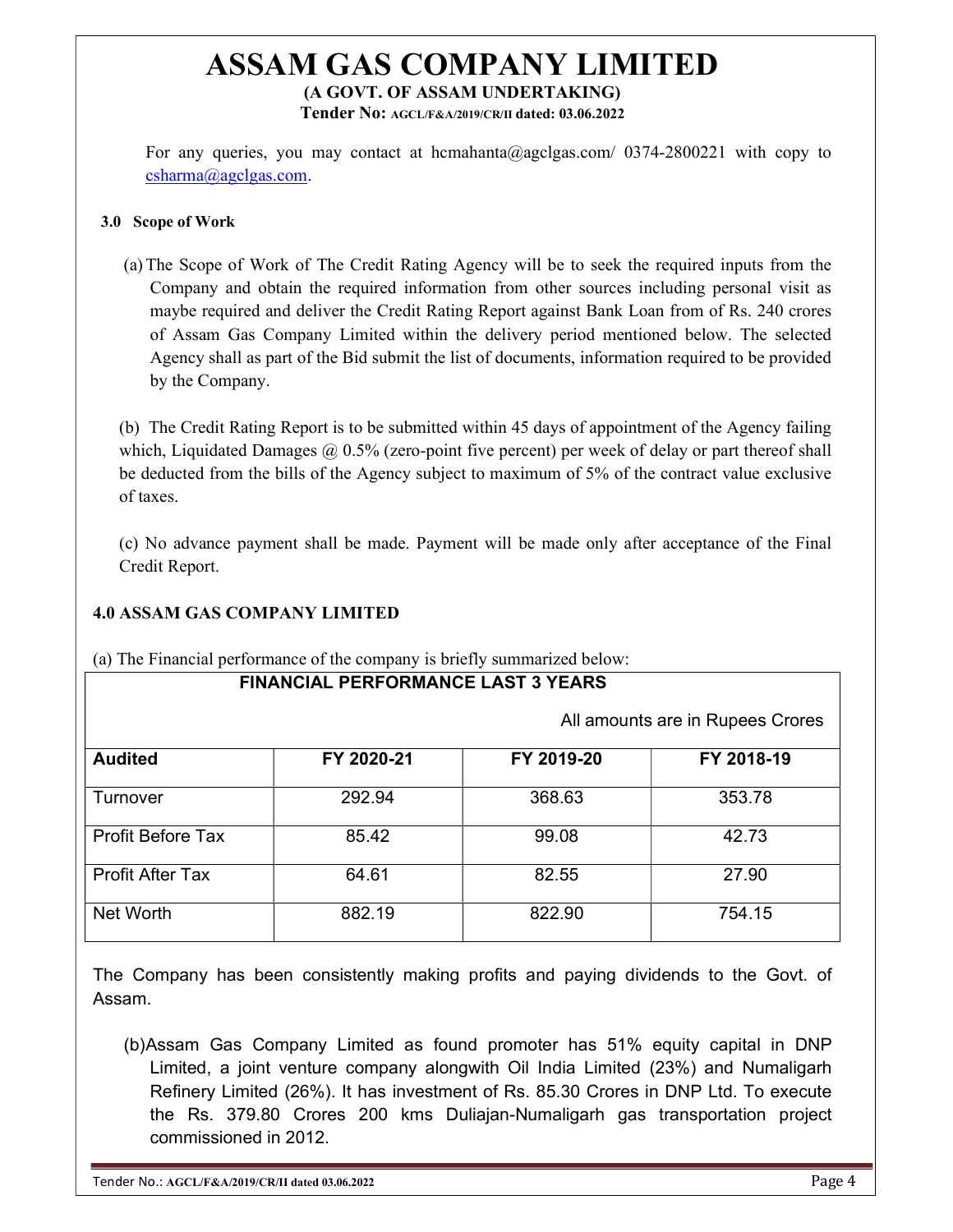Tender No: AGCL/F&A/2019/CR/II dated: 03.06.2022

For any queries, you may contact at hcmahanta@agclgas.com/ 0374-2800221 with copy to csharma@agclgas.com.

#### 3.0 Scope of Work

(a)The Scope of Work of The Credit Rating Agency will be to seek the required inputs from the Company and obtain the required information from other sources including personal visit as maybe required and deliver the Credit Rating Report against Bank Loan from of Rs. 240 crores of Assam Gas Company Limited within the delivery period mentioned below. The selected Agency shall as part of the Bid submit the list of documents, information required to be provided by the Company.

(b) The Credit Rating Report is to be submitted within 45 days of appointment of the Agency failing which, Liquidated Damages  $\omega$  0.5% (zero-point five percent) per week of delay or part thereof shall be deducted from the bills of the Agency subject to maximum of 5% of the contract value exclusive of taxes.

(c) No advance payment shall be made. Payment will be made only after acceptance of the Final Credit Report.

### 4.0 ASSAM GAS COMPANY LIMITED

| <b>FINANCIAL PERFORMANCE LAST 3 YEARS</b> |                                  |            |            |
|-------------------------------------------|----------------------------------|------------|------------|
|                                           | All amounts are in Rupees Crores |            |            |
| <b>Audited</b>                            | FY 2020-21                       | FY 2019-20 | FY 2018-19 |
| Turnover                                  | 292.94                           | 368.63     | 353.78     |
| <b>Profit Before Tax</b>                  | 85.42                            | 99.08      | 42.73      |
| <b>Profit After Tax</b>                   | 64.61                            | 82.55      | 27.90      |
| Net Worth                                 | 882.19                           | 822.90     | 754.15     |

(a) The Financial performance of the company is briefly summarized below:

The Company has been consistently making profits and paying dividends to the Govt. of Assam.

(b) Assam Gas Company Limited as found promoter has 51% equity capital in DNP Limited, a joint venture company alongwith Oil India Limited (23%) and Numaligarh Refinery Limited (26%). It has investment of Rs. 85.30 Crores in DNP Ltd. To execute the Rs. 379.80 Crores 200 kms Duliajan-Numaligarh gas transportation project commissioned in 2012.